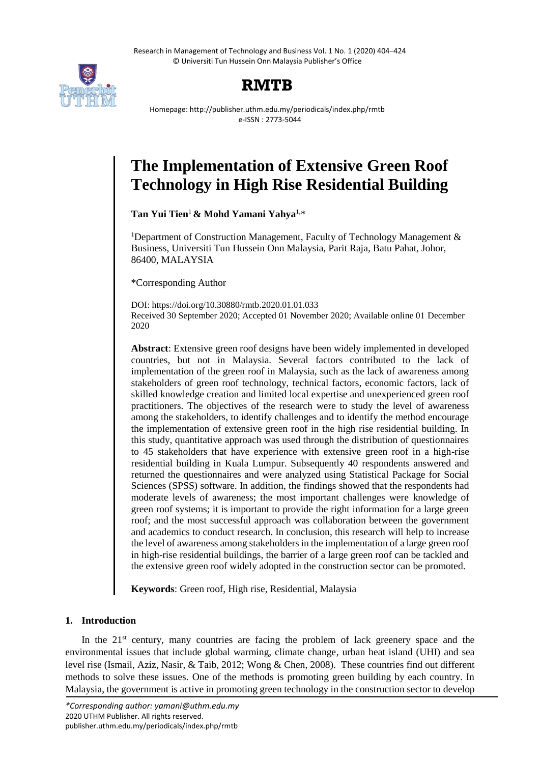Research in Management of Technology and Business Vol. 1 No. 1 (2020) 404–424 © Universiti Tun Hussein Onn Malaysia Publisher's Office



# **RMTB**

Homepage: http://publisher.uthm.edu.my/periodicals/index.php/rmtb e-ISSN : 2773-5044

# **The Implementation of Extensive Green Roof Technology in High Rise Residential Building**

**Tan Yui Tien**<sup>1</sup> **& Mohd Yamani Yahya**1,\*

<sup>1</sup>Department of Construction Management, Faculty of Technology Management  $\&$ Business, Universiti Tun Hussein Onn Malaysia, Parit Raja, Batu Pahat, Johor, 86400, MALAYSIA

\*Corresponding Author

DOI: https://doi.org/10.30880/rmtb.2020.01.01.033 Received 30 September 2020; Accepted 01 November 2020; Available online 01 December 2020

**Abstract**: Extensive green roof designs have been widely implemented in developed countries, but not in Malaysia. Several factors contributed to the lack of implementation of the green roof in Malaysia, such as the lack of awareness among stakeholders of green roof technology, technical factors, economic factors, lack of skilled knowledge creation and limited local expertise and unexperienced green roof practitioners. The objectives of the research were to study the level of awareness among the stakeholders, to identify challenges and to identify the method encourage the implementation of extensive green roof in the high rise residential building. In this study, quantitative approach was used through the distribution of questionnaires to 45 stakeholders that have experience with extensive green roof in a high-rise residential building in Kuala Lumpur. Subsequently 40 respondents answered and returned the questionnaires and were analyzed using Statistical Package for Social Sciences (SPSS) software. In addition, the findings showed that the respondents had moderate levels of awareness; the most important challenges were knowledge of green roof systems; it is important to provide the right information for a large green roof; and the most successful approach was collaboration between the government and academics to conduct research. In conclusion, this research will help to increase the level of awareness among stakeholders in the implementation of a large green roof in high-rise residential buildings, the barrier of a large green roof can be tackled and the extensive green roof widely adopted in the construction sector can be promoted.

**Keywords**: Green roof, High rise, Residential, Malaysia

# **1. Introduction**

In the 21<sup>st</sup> century, many countries are facing the problem of lack greenery space and the environmental issues that include global warming, climate change, urban heat island (UHI) and sea level rise (Ismail, Aziz, Nasir, & Taib, 2012; Wong & Chen, 2008). These countries find out different methods to solve these issues. One of the methods is promoting green building by each country. In Malaysia, the government is active in promoting green technology in the construction sector to develop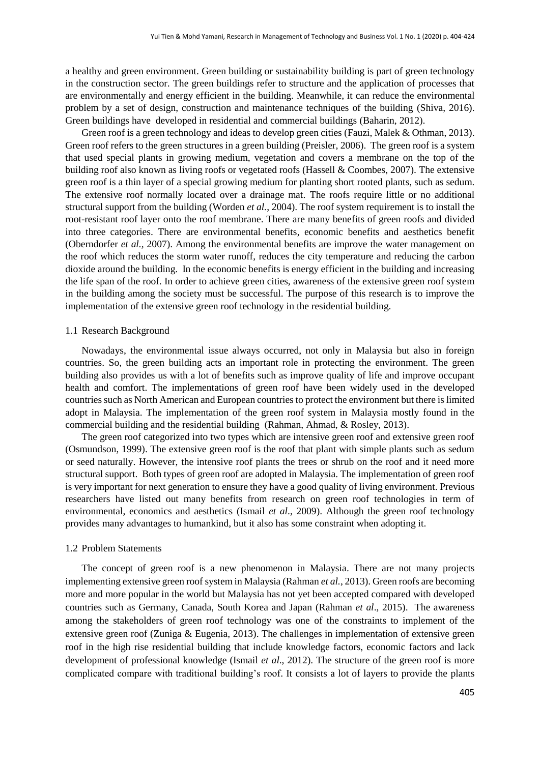a healthy and green environment. Green building or sustainability building is part of green technology in the construction sector. The green buildings refer to structure and the application of processes that are environmentally and energy efficient in the building. Meanwhile, it can reduce the environmental problem by a set of design, construction and maintenance techniques of the building (Shiva, 2016). Green buildings have developed in residential and commercial buildings (Baharin, 2012).

Green roof is a green technology and ideas to develop green cities (Fauzi, Malek & Othman, 2013). Green roof refers to the green structures in a green building (Preisler, 2006). The green roof is a system that used special plants in growing medium, vegetation and covers a membrane on the top of the building roof also known as living roofs or vegetated roofs (Hassell & Coombes, 2007). The extensive green roof is a thin layer of a special growing medium for planting short rooted plants, such as sedum. The extensive roof normally located over a drainage mat. The roofs require little or no additional structural support from the building (Worden *et al.*, 2004). The roof system requirement is to install the root-resistant roof layer onto the roof membrane. There are many benefits of green roofs and divided into three categories. There are environmental benefits, economic benefits and aesthetics benefit (Oberndorfer *et al.,* 2007). Among the environmental benefits are improve the water management on the roof which reduces the storm water runoff, reduces the city temperature and reducing the carbon dioxide around the building. In the economic benefits is energy efficient in the building and increasing the life span of the roof. In order to achieve green cities, awareness of the extensive green roof system in the building among the society must be successful. The purpose of this research is to improve the implementation of the extensive green roof technology in the residential building.

### 1.1 Research Background

Nowadays, the environmental issue always occurred, not only in Malaysia but also in foreign countries. So, the green building acts an important role in protecting the environment. The green building also provides us with a lot of benefits such as improve quality of life and improve occupant health and comfort. The implementations of green roof have been widely used in the developed countries such as North American and European countries to protect the environment but there is limited adopt in Malaysia. The implementation of the green roof system in Malaysia mostly found in the commercial building and the residential building (Rahman, Ahmad, & Rosley, 2013).

The green roof categorized into two types which are intensive green roof and extensive green roof (Osmundson, 1999). The extensive green roof is the roof that plant with simple plants such as sedum or seed naturally. However, the intensive roof plants the trees or shrub on the roof and it need more structural support. Both types of green roof are adopted in Malaysia. The implementation of green roof is very important for next generation to ensure they have a good quality of living environment. Previous researchers have listed out many benefits from research on green roof technologies in term of environmental, economics and aesthetics (Ismail *et al*., 2009). Although the green roof technology provides many advantages to humankind, but it also has some constraint when adopting it.

#### 1.2 Problem Statements

The concept of green roof is a new phenomenon in Malaysia. There are not many projects implementing extensive green roof system in Malaysia (Rahman *et al.*, 2013). Green roofs are becoming more and more popular in the world but Malaysia has not yet been accepted compared with developed countries such as Germany, Canada, South Korea and Japan (Rahman *et al*., 2015). The awareness among the stakeholders of green roof technology was one of the constraints to implement of the extensive green roof (Zuniga & Eugenia, 2013). The challenges in implementation of extensive green roof in the high rise residential building that include knowledge factors, economic factors and lack development of professional knowledge (Ismail *et al*., 2012). The structure of the green roof is more complicated compare with traditional building's roof. It consists a lot of layers to provide the plants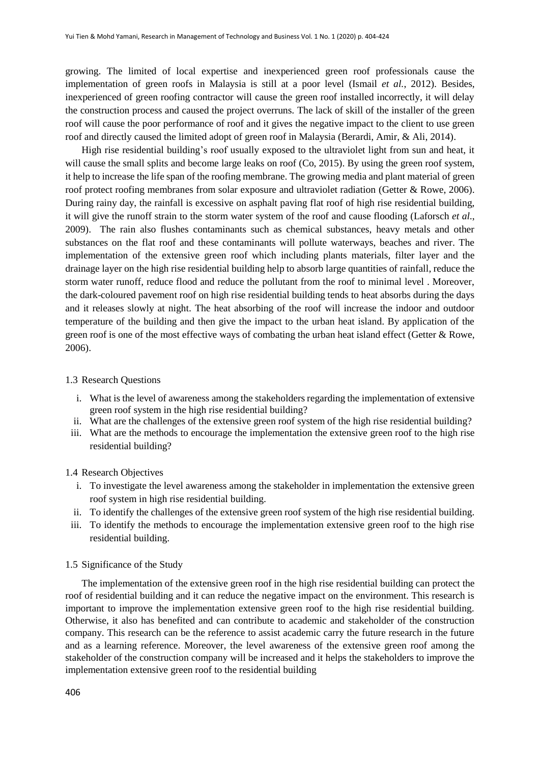growing. The limited of local expertise and inexperienced green roof professionals cause the implementation of green roofs in Malaysia is still at a poor level (Ismail *et al.*, 2012). Besides, inexperienced of green roofing contractor will cause the green roof installed incorrectly, it will delay the construction process and caused the project overruns. The lack of skill of the installer of the green roof will cause the poor performance of roof and it gives the negative impact to the client to use green roof and directly caused the limited adopt of green roof in Malaysia (Berardi, Amir, & Ali, 2014).

High rise residential building's roof usually exposed to the ultraviolet light from sun and heat, it will cause the small splits and become large leaks on roof (Co, 2015). By using the green roof system, it help to increase the life span of the roofing membrane. The growing media and plant material of green roof protect roofing membranes from solar exposure and ultraviolet radiation (Getter & Rowe, 2006). During rainy day, the rainfall is excessive on asphalt paving flat roof of high rise residential building, it will give the runoff strain to the storm water system of the roof and cause flooding (Laforsch *et al*., 2009). The rain also flushes contaminants such as chemical substances, heavy metals and other substances on the flat roof and these contaminants will pollute waterways, beaches and river. The implementation of the extensive green roof which including plants materials, filter layer and the drainage layer on the high rise residential building help to absorb large quantities of rainfall, reduce the storm water runoff, reduce flood and reduce the pollutant from the roof to minimal level . Moreover, the dark-coloured pavement roof on high rise residential building tends to heat absorbs during the days and it releases slowly at night. The heat absorbing of the roof will increase the indoor and outdoor temperature of the building and then give the impact to the urban heat island. By application of the green roof is one of the most effective ways of combating the urban heat island effect (Getter & Rowe, 2006).

## 1.3 Research Questions

- i. What is the level of awareness among the stakeholders regarding the implementation of extensive green roof system in the high rise residential building?
- ii. What are the challenges of the extensive green roof system of the high rise residential building?
- iii. What are the methods to encourage the implementation the extensive green roof to the high rise residential building?

### 1.4 Research Objectives

- i. To investigate the level awareness among the stakeholder in implementation the extensive green roof system in high rise residential building.
- ii. To identify the challenges of the extensive green roof system of the high rise residential building.
- iii. To identify the methods to encourage the implementation extensive green roof to the high rise residential building.

#### 1.5 Significance of the Study

The implementation of the extensive green roof in the high rise residential building can protect the roof of residential building and it can reduce the negative impact on the environment. This research is important to improve the implementation extensive green roof to the high rise residential building. Otherwise, it also has benefited and can contribute to academic and stakeholder of the construction company. This research can be the reference to assist academic carry the future research in the future and as a learning reference. Moreover, the level awareness of the extensive green roof among the stakeholder of the construction company will be increased and it helps the stakeholders to improve the implementation extensive green roof to the residential building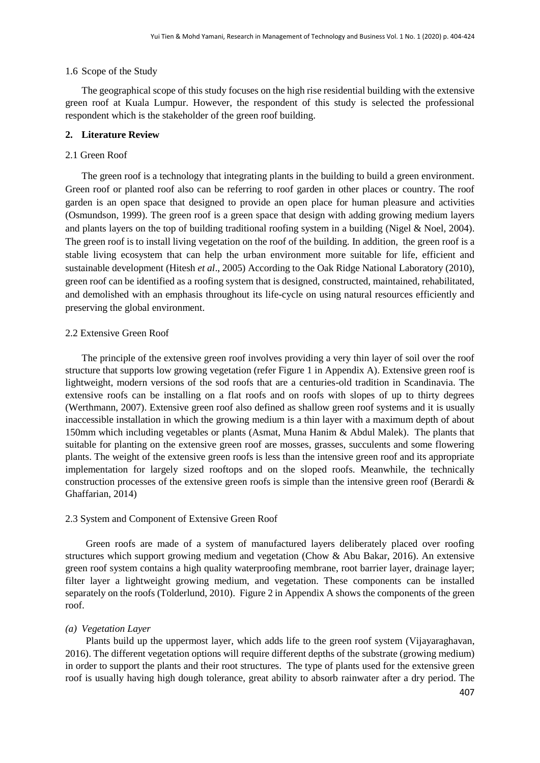## 1.6 Scope of the Study

The geographical scope of this study focuses on the high rise residential building with the extensive green roof at Kuala Lumpur. However, the respondent of this study is selected the professional respondent which is the stakeholder of the green roof building.

## **2. Literature Review**

## 2.1 Green Roof

The green roof is a technology that integrating plants in the building to build a green environment. Green roof or planted roof also can be referring to roof garden in other places or country. The roof garden is an open space that designed to provide an open place for human pleasure and activities (Osmundson, 1999). The green roof is a green space that design with adding growing medium layers and plants layers on the top of building traditional roofing system in a building (Nigel & Noel, 2004). The green roof is to install living vegetation on the roof of the building. In addition, the green roof is a stable living ecosystem that can help the urban environment more suitable for life, efficient and sustainable development (Hitesh *et al*., 2005) According to the Oak Ridge National Laboratory (2010), green roof can be identified as a roofing system that is designed, constructed, maintained, rehabilitated, and demolished with an emphasis throughout its life-cycle on using natural resources efficiently and preserving the global environment.

## 2.2 Extensive Green Roof

The principle of the extensive green roof involves providing a very thin layer of soil over the roof structure that supports low growing vegetation (refer Figure 1 in Appendix A). Extensive green roof is lightweight, modern versions of the sod roofs that are a centuries-old tradition in Scandinavia. The extensive roofs can be installing on a flat roofs and on roofs with slopes of up to thirty degrees (Werthmann, 2007). Extensive green roof also defined as shallow green roof systems and it is usually inaccessible installation in which the growing medium is a thin layer with a maximum depth of about 150mm which including vegetables or plants (Asmat, Muna Hanim & Abdul Malek). The plants that suitable for planting on the extensive green roof are mosses, grasses, succulents and some flowering plants. The weight of the extensive green roofs is less than the intensive green roof and its appropriate implementation for largely sized rooftops and on the sloped roofs. Meanwhile, the technically construction processes of the extensive green roofs is simple than the intensive green roof (Berardi  $\&$ Ghaffarian, 2014)

## 2.3 System and Component of Extensive Green Roof

Green roofs are made of a system of manufactured layers deliberately placed over roofing structures which support growing medium and vegetation (Chow & Abu Bakar, 2016). An extensive green roof system contains a high quality waterproofing membrane, root barrier layer, drainage layer; filter layer a lightweight growing medium, and vegetation. These components can be installed separately on the roofs (Tolderlund, 2010). Figure 2 in Appendix A shows the components of the green roof.

## *(a) Vegetation Layer*

Plants build up the uppermost layer, which adds life to the green roof system (Vijayaraghavan, 2016). The different vegetation options will require different depths of the substrate (growing medium) in order to support the plants and their root structures. The type of plants used for the extensive green roof is usually having high dough tolerance, great ability to absorb rainwater after a dry period. The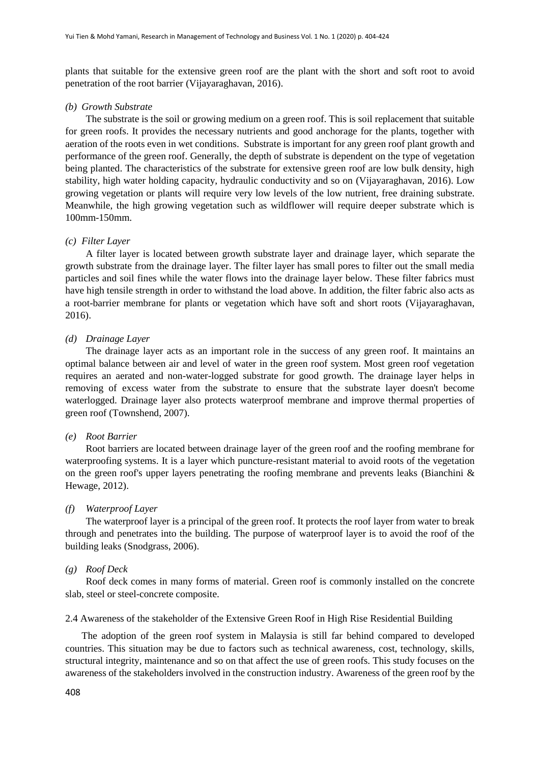plants that suitable for the extensive green roof are the plant with the short and soft root to avoid penetration of the root barrier (Vijayaraghavan, 2016).

### *(b) Growth Substrate*

The substrate is the soil or growing medium on a green roof. This is soil replacement that suitable for green roofs. It provides the necessary nutrients and good anchorage for the plants, together with aeration of the roots even in wet conditions. Substrate is important for any green roof plant growth and performance of the green roof. Generally, the depth of substrate is dependent on the type of vegetation being planted. The characteristics of the substrate for extensive green roof are low bulk density, high stability, high water holding capacity, hydraulic conductivity and so on (Vijayaraghavan, 2016). Low growing vegetation or plants will require very low levels of the low nutrient, free draining substrate. Meanwhile, the high growing vegetation such as wildflower will require deeper substrate which is 100mm-150mm.

#### *(c) Filter Layer*

A filter layer is located between growth substrate layer and drainage layer, which separate the growth substrate from the drainage layer. The filter layer has small pores to filter out the small media particles and soil fines while the water flows into the drainage layer below. These filter fabrics must have high tensile strength in order to withstand the load above. In addition, the filter fabric also acts as a root-barrier membrane for plants or vegetation which have soft and short roots (Vijayaraghavan, 2016).

## *(d) Drainage Layer*

The drainage layer acts as an important role in the success of any green roof. It maintains an optimal balance between air and level of water in the green roof system. Most green roof vegetation requires an aerated and non-water-logged substrate for good growth. The drainage layer helps in removing of excess water from the substrate to ensure that the substrate layer doesn't become waterlogged. Drainage layer also protects waterproof membrane and improve thermal properties of green roof (Townshend, 2007).

#### *(e) Root Barrier*

Root barriers are located between drainage layer of the green roof and the roofing membrane for waterproofing systems. It is a layer which puncture-resistant material to avoid roots of the vegetation on the green roof's upper layers penetrating the roofing membrane and prevents leaks (Bianchini & Hewage, 2012).

## *(f) Waterproof Layer*

The waterproof layer is a principal of the green roof. It protects the roof layer from water to break through and penetrates into the building. The purpose of waterproof layer is to avoid the roof of the building leaks (Snodgrass, 2006).

#### *(g) Roof Deck*

Roof deck comes in many forms of material. Green roof is commonly installed on the concrete slab, steel or steel-concrete composite.

## 2.4 Awareness of the stakeholder of the Extensive Green Roof in High Rise Residential Building

The adoption of the green roof system in Malaysia is still far behind compared to developed countries. This situation may be due to factors such as technical awareness, cost, technology, skills, structural integrity, maintenance and so on that affect the use of green roofs. This study focuses on the awareness of the stakeholders involved in the construction industry. Awareness of the green roof by the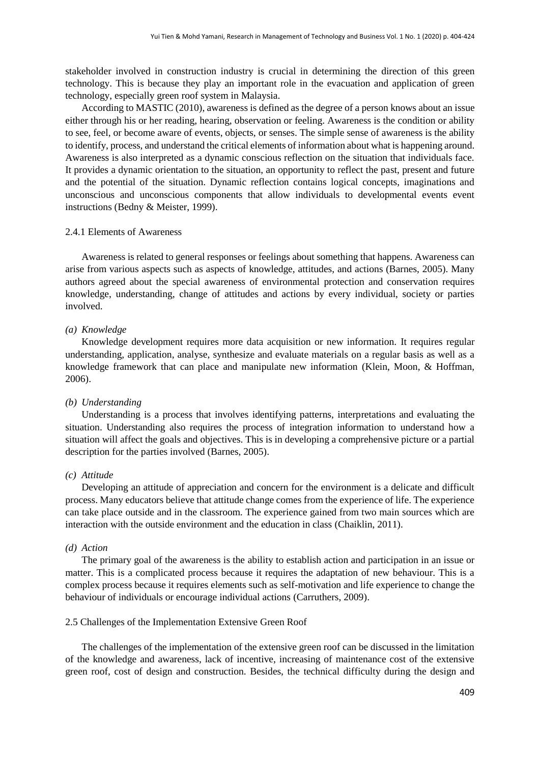stakeholder involved in construction industry is crucial in determining the direction of this green technology. This is because they play an important role in the evacuation and application of green technology, especially green roof system in Malaysia.

According to MASTIC (2010), awareness is defined as the degree of a person knows about an issue either through his or her reading, hearing, observation or feeling. Awareness is the condition or ability to see, feel, or become aware of events, objects, or senses. The simple sense of awareness is the ability to identify, process, and understand the critical elements of information about what is happening around. Awareness is also interpreted as a dynamic conscious reflection on the situation that individuals face. It provides a dynamic orientation to the situation, an opportunity to reflect the past, present and future and the potential of the situation. Dynamic reflection contains logical concepts, imaginations and unconscious and unconscious components that allow individuals to developmental events event instructions (Bedny & Meister, 1999).

## 2.4.1 Elements of Awareness

Awareness is related to general responses or feelings about something that happens. Awareness can arise from various aspects such as aspects of knowledge, attitudes, and actions (Barnes, 2005). Many authors agreed about the special awareness of environmental protection and conservation requires knowledge, understanding, change of attitudes and actions by every individual, society or parties involved.

#### *(a) Knowledge*

Knowledge development requires more data acquisition or new information. It requires regular understanding, application, analyse, synthesize and evaluate materials on a regular basis as well as a knowledge framework that can place and manipulate new information (Klein, Moon, & Hoffman, 2006).

#### *(b) Understanding*

Understanding is a process that involves identifying patterns, interpretations and evaluating the situation. Understanding also requires the process of integration information to understand how a situation will affect the goals and objectives. This is in developing a comprehensive picture or a partial description for the parties involved (Barnes, 2005).

## *(c) Attitude*

Developing an attitude of appreciation and concern for the environment is a delicate and difficult process. Many educators believe that attitude change comes from the experience of life. The experience can take place outside and in the classroom. The experience gained from two main sources which are interaction with the outside environment and the education in class (Chaiklin, 2011).

#### *(d) Action*

The primary goal of the awareness is the ability to establish action and participation in an issue or matter. This is a complicated process because it requires the adaptation of new behaviour. This is a complex process because it requires elements such as self-motivation and life experience to change the behaviour of individuals or encourage individual actions (Carruthers, 2009).

#### 2.5 Challenges of the Implementation Extensive Green Roof

The challenges of the implementation of the extensive green roof can be discussed in the limitation of the knowledge and awareness, lack of incentive, increasing of maintenance cost of the extensive green roof, cost of design and construction. Besides, the technical difficulty during the design and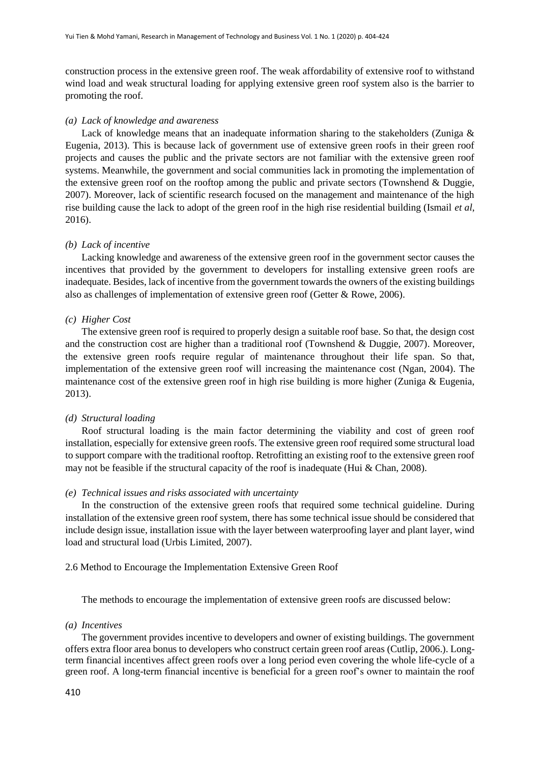construction process in the extensive green roof. The weak affordability of extensive roof to withstand wind load and weak structural loading for applying extensive green roof system also is the barrier to promoting the roof.

#### *(a) Lack of knowledge and awareness*

Lack of knowledge means that an inadequate information sharing to the stakeholders (Zuniga & Eugenia, 2013). This is because lack of government use of extensive green roofs in their green roof projects and causes the public and the private sectors are not familiar with the extensive green roof systems. Meanwhile, the government and social communities lack in promoting the implementation of the extensive green roof on the rooftop among the public and private sectors (Townshend & Duggie, 2007). Moreover, lack of scientific research focused on the management and maintenance of the high rise building cause the lack to adopt of the green roof in the high rise residential building (Ismail *et al*, 2016).

## *(b) Lack of incentive*

Lacking knowledge and awareness of the extensive green roof in the government sector causes the incentives that provided by the government to developers for installing extensive green roofs are inadequate. Besides, lack of incentive from the government towards the owners of the existing buildings also as challenges of implementation of extensive green roof (Getter & Rowe, 2006).

## *(c) Higher Cost*

The extensive green roof is required to properly design a suitable roof base. So that, the design cost and the construction cost are higher than a traditional roof (Townshend & Duggie, 2007). Moreover, the extensive green roofs require regular of maintenance throughout their life span. So that, implementation of the extensive green roof will increasing the maintenance cost (Ngan, 2004). The maintenance cost of the extensive green roof in high rise building is more higher (Zuniga & Eugenia, 2013).

#### *(d) Structural loading*

Roof structural loading is the main factor determining the viability and cost of green roof installation, especially for extensive green roofs. The extensive green roof required some structural load to support compare with the traditional rooftop. Retrofitting an existing roof to the extensive green roof may not be feasible if the structural capacity of the roof is inadequate (Hui  $\&$  Chan, 2008).

## *(e) Technical issues and risks associated with uncertainty*

In the construction of the extensive green roofs that required some technical guideline. During installation of the extensive green roof system, there has some technical issue should be considered that include design issue, installation issue with the layer between waterproofing layer and plant layer, wind load and structural load (Urbis Limited, 2007).

### 2.6 Method to Encourage the Implementation Extensive Green Roof

The methods to encourage the implementation of extensive green roofs are discussed below:

#### *(a) Incentives*

The government provides incentive to developers and owner of existing buildings. The government offers extra floor area bonus to developers who construct certain green roof areas (Cutlip, 2006.). Longterm financial incentives affect green roofs over a long period even covering the whole life-cycle of a green roof. A long-term financial incentive is beneficial for a green roof's owner to maintain the roof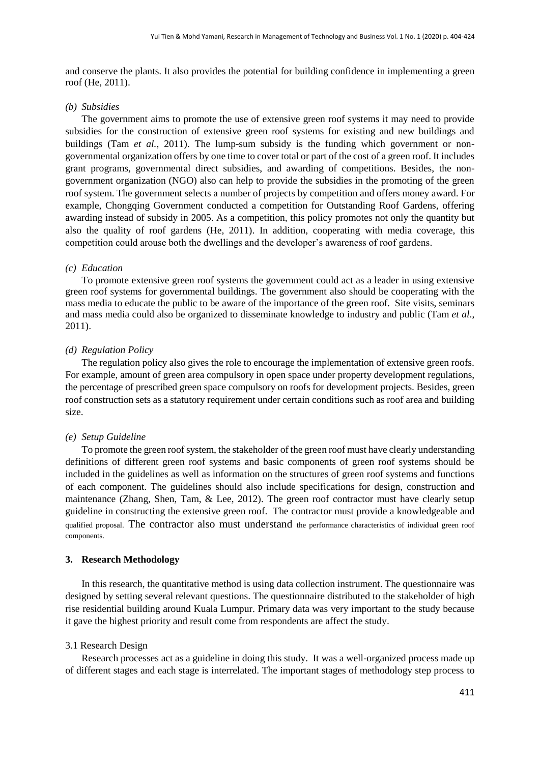and conserve the plants. It also provides the potential for building confidence in implementing a green roof (He, 2011).

## *(b) Subsidies*

The government aims to promote the use of extensive green roof systems it may need to provide subsidies for the construction of extensive green roof systems for existing and new buildings and buildings (Tam *et al.*, 2011). The lump-sum subsidy is the funding which government or nongovernmental organization offers by one time to cover total or part of the cost of a green roof. It includes grant programs, governmental direct subsidies, and awarding of competitions. Besides, the nongovernment organization (NGO) also can help to provide the subsidies in the promoting of the green roof system. The government selects a number of projects by competition and offers money award. For example, Chongqing Government conducted a competition for Outstanding Roof Gardens, offering awarding instead of subsidy in 2005. As a competition, this policy promotes not only the quantity but also the quality of roof gardens (He, 2011). In addition, cooperating with media coverage, this competition could arouse both the dwellings and the developer's awareness of roof gardens.

## *(c) Education*

To promote extensive green roof systems the government could act as a leader in using extensive green roof systems for governmental buildings. The government also should be cooperating with the mass media to educate the public to be aware of the importance of the green roof. Site visits, seminars and mass media could also be organized to disseminate knowledge to industry and public (Tam *et al*., 2011).

#### *(d) Regulation Policy*

The regulation policy also gives the role to encourage the implementation of extensive green roofs. For example, amount of green area compulsory in open space under property development regulations, the percentage of prescribed green space compulsory on roofs for development projects. Besides, green roof construction sets as a statutory requirement under certain conditions such as roof area and building size.

#### *(e) Setup Guideline*

To promote the green roof system, the stakeholder of the green roof must have clearly understanding definitions of different green roof systems and basic components of green roof systems should be included in the guidelines as well as information on the structures of green roof systems and functions of each component. The guidelines should also include specifications for design, construction and maintenance (Zhang, Shen, Tam, & Lee, 2012). The green roof contractor must have clearly setup guideline in constructing the extensive green roof. The contractor must provide a knowledgeable and qualified proposal. The contractor also must understand the performance characteristics of individual green roof components.

## **3. Research Methodology**

In this research, the quantitative method is using data collection instrument. The questionnaire was designed by setting several relevant questions. The questionnaire distributed to the stakeholder of high rise residential building around Kuala Lumpur. Primary data was very important to the study because it gave the highest priority and result come from respondents are affect the study.

#### 3.1 Research Design

Research processes act as a guideline in doing this study. It was a well-organized process made up of different stages and each stage is interrelated. The important stages of methodology step process to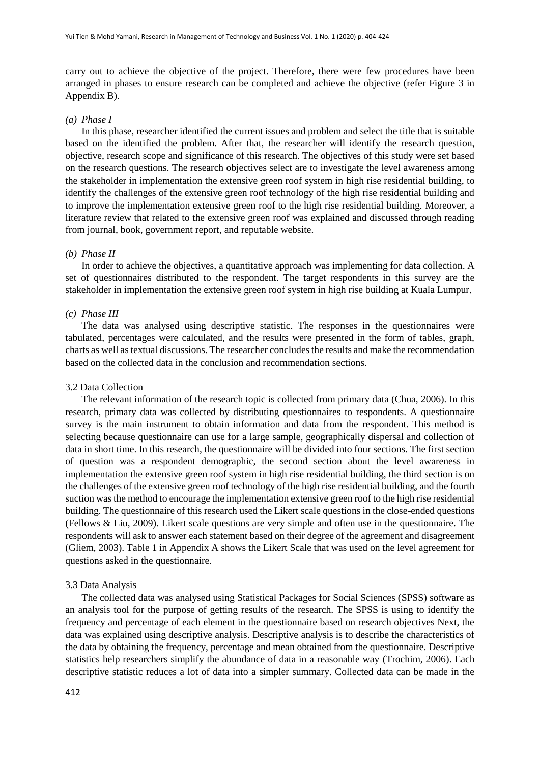carry out to achieve the objective of the project. Therefore, there were few procedures have been arranged in phases to ensure research can be completed and achieve the objective (refer Figure 3 in Appendix B).

#### *(a) Phase I*

In this phase, researcher identified the current issues and problem and select the title that is suitable based on the identified the problem. After that, the researcher will identify the research question, objective, research scope and significance of this research. The objectives of this study were set based on the research questions. The research objectives select are to investigate the level awareness among the stakeholder in implementation the extensive green roof system in high rise residential building, to identify the challenges of the extensive green roof technology of the high rise residential building and to improve the implementation extensive green roof to the high rise residential building. Moreover, a literature review that related to the extensive green roof was explained and discussed through reading from journal, book, government report, and reputable website.

## *(b) Phase II*

In order to achieve the objectives, a quantitative approach was implementing for data collection. A set of questionnaires distributed to the respondent. The target respondents in this survey are the stakeholder in implementation the extensive green roof system in high rise building at Kuala Lumpur.

## *(c) Phase III*

The data was analysed using descriptive statistic. The responses in the questionnaires were tabulated, percentages were calculated, and the results were presented in the form of tables, graph, charts as well as textual discussions. The researcher concludes the results and make the recommendation based on the collected data in the conclusion and recommendation sections.

#### 3.2 Data Collection

The relevant information of the research topic is collected from primary data (Chua, 2006). In this research, primary data was collected by distributing questionnaires to respondents. A questionnaire survey is the main instrument to obtain information and data from the respondent. This method is selecting because questionnaire can use for a large sample, geographically dispersal and collection of data in short time. In this research, the questionnaire will be divided into four sections. The first section of question was a respondent demographic, the second section about the level awareness in implementation the extensive green roof system in high rise residential building, the third section is on the challenges of the extensive green roof technology of the high rise residential building, and the fourth suction was the method to encourage the implementation extensive green roof to the high rise residential building. The questionnaire of this research used the Likert scale questions in the close-ended questions (Fellows & Liu, 2009). Likert scale questions are very simple and often use in the questionnaire. The respondents will ask to answer each statement based on their degree of the agreement and disagreement (Gliem, 2003). Table 1 in Appendix A shows the Likert Scale that was used on the level agreement for questions asked in the questionnaire.

#### 3.3 Data Analysis

The collected data was analysed using Statistical Packages for Social Sciences (SPSS) software as an analysis tool for the purpose of getting results of the research. The SPSS is using to identify the frequency and percentage of each element in the questionnaire based on research objectives Next, the data was explained using descriptive analysis. Descriptive analysis is to describe the characteristics of the data by obtaining the frequency, percentage and mean obtained from the questionnaire. Descriptive statistics help researchers simplify the abundance of data in a reasonable way (Trochim, 2006). Each descriptive statistic reduces a lot of data into a simpler summary. Collected data can be made in the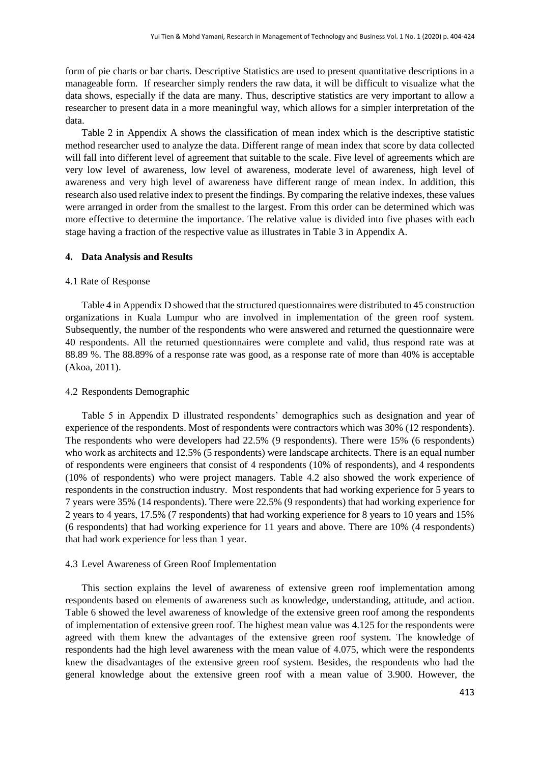form of pie charts or bar charts. Descriptive Statistics are used to present quantitative descriptions in a manageable form. If researcher simply renders the raw data, it will be difficult to visualize what the data shows, especially if the data are many. Thus, descriptive statistics are very important to allow a researcher to present data in a more meaningful way, which allows for a simpler interpretation of the data.

Table 2 in Appendix A shows the classification of mean index which is the descriptive statistic method researcher used to analyze the data. Different range of mean index that score by data collected will fall into different level of agreement that suitable to the scale. Five level of agreements which are very low level of awareness, low level of awareness, moderate level of awareness, high level of awareness and very high level of awareness have different range of mean index. In addition, this research also used relative index to present the findings. By comparing the relative indexes, these values were arranged in order from the smallest to the largest. From this order can be determined which was more effective to determine the importance. The relative value is divided into five phases with each stage having a fraction of the respective value as illustrates in Table 3 in Appendix A.

## **4. Data Analysis and Results**

### 4.1 Rate of Response

Table 4 in Appendix D showed that the structured questionnaires were distributed to 45 construction organizations in Kuala Lumpur who are involved in implementation of the green roof system. Subsequently, the number of the respondents who were answered and returned the questionnaire were 40 respondents. All the returned questionnaires were complete and valid, thus respond rate was at 88.89 %. The 88.89% of a response rate was good, as a response rate of more than 40% is acceptable (Akoa, 2011).

#### 4.2 Respondents Demographic

Table 5 in Appendix D illustrated respondents' demographics such as designation and year of experience of the respondents. Most of respondents were contractors which was 30% (12 respondents). The respondents who were developers had 22.5% (9 respondents). There were 15% (6 respondents) who work as architects and 12.5% (5 respondents) were landscape architects. There is an equal number of respondents were engineers that consist of 4 respondents (10% of respondents), and 4 respondents (10% of respondents) who were project managers. Table 4.2 also showed the work experience of respondents in the construction industry. Most respondents that had working experience for 5 years to 7 years were 35% (14 respondents). There were 22.5% (9 respondents) that had working experience for 2 years to 4 years, 17.5% (7 respondents) that had working experience for 8 years to 10 years and 15% (6 respondents) that had working experience for 11 years and above. There are 10% (4 respondents) that had work experience for less than 1 year.

#### 4.3 Level Awareness of Green Roof Implementation

This section explains the level of awareness of extensive green roof implementation among respondents based on elements of awareness such as knowledge, understanding, attitude, and action. Table 6 showed the level awareness of knowledge of the extensive green roof among the respondents of implementation of extensive green roof. The highest mean value was 4.125 for the respondents were agreed with them knew the advantages of the extensive green roof system. The knowledge of respondents had the high level awareness with the mean value of 4.075, which were the respondents knew the disadvantages of the extensive green roof system. Besides, the respondents who had the general knowledge about the extensive green roof with a mean value of 3.900. However, the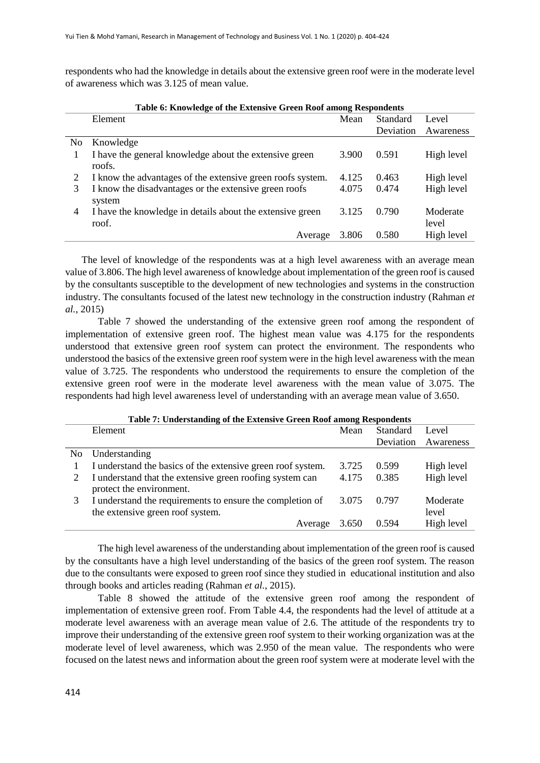respondents who had the knowledge in details about the extensive green roof were in the moderate level of awareness which was 3.125 of mean value.

|                | Table 6: Knowledge of the Extensive Green Roof among Respondents   |       |           |                   |
|----------------|--------------------------------------------------------------------|-------|-----------|-------------------|
|                | Element                                                            | Mean  | Standard  | Level             |
|                |                                                                    |       | Deviation | Awareness         |
| N <sub>0</sub> | Knowledge                                                          |       |           |                   |
| 1              | I have the general knowledge about the extensive green<br>roofs.   | 3.900 | 0.591     | High level        |
| 2              | I know the advantages of the extensive green roofs system.         | 4.125 | 0.463     | High level        |
| 3              | I know the disadvantages or the extensive green roofs<br>system    | 4.075 | 0.474     | High level        |
| 4              | I have the knowledge in details about the extensive green<br>roof. | 3.125 | 0.790     | Moderate<br>level |
|                | Average                                                            | 3.806 | 0.580     | High level        |

The level of knowledge of the respondents was at a high level awareness with an average mean value of 3.806. The high level awareness of knowledge about implementation of the green roof is caused by the consultants susceptible to the development of new technologies and systems in the construction industry. The consultants focused of the latest new technology in the construction industry (Rahman *et al.*, 2015)

Table 7 showed the understanding of the extensive green roof among the respondent of implementation of extensive green roof. The highest mean value was 4.175 for the respondents understood that extensive green roof system can protect the environment. The respondents who understood the basics of the extensive green roof system were in the high level awareness with the mean value of 3.725. The respondents who understood the requirements to ensure the completion of the extensive green roof were in the moderate level awareness with the mean value of 3.075. The respondents had high level awareness level of understanding with an average mean value of 3.650.

|     | Table 7: Understanding of the Extensive Green Roof among Respondents                 |       |                 |            |  |
|-----|--------------------------------------------------------------------------------------|-------|-----------------|------------|--|
|     | Element                                                                              | Mean  | <b>Standard</b> | Level      |  |
|     |                                                                                      |       | Deviation       | Awareness  |  |
| No. | Understanding                                                                        |       |                 |            |  |
|     | I understand the basics of the extensive green roof system.                          | 3.725 | 0.599           | High level |  |
| 2   | I understand that the extensive green roofing system can<br>protect the environment. | 4.175 | 0.385           | High level |  |
| 3   | I understand the requirements to ensure the completion of                            | 3.075 | 0.797           | Moderate   |  |
|     | the extensive green roof system.                                                     |       |                 | level      |  |
|     | Average                                                                              | 3.650 | 0.594           | High level |  |

The high level awareness of the understanding about implementation of the green roof is caused by the consultants have a high level understanding of the basics of the green roof system. The reason due to the consultants were exposed to green roof since they studied in educational institution and also through books and articles reading (Rahman *et al.*, 2015).

Table 8 showed the attitude of the extensive green roof among the respondent of implementation of extensive green roof. From Table 4.4, the respondents had the level of attitude at a moderate level awareness with an average mean value of 2.6. The attitude of the respondents try to improve their understanding of the extensive green roof system to their working organization was at the moderate level of level awareness, which was 2.950 of the mean value. The respondents who were focused on the latest news and information about the green roof system were at moderate level with the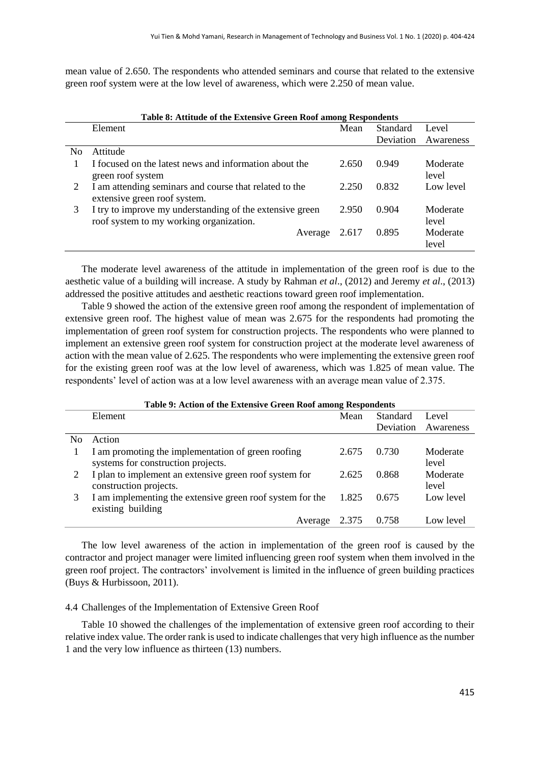mean value of 2.650. The respondents who attended seminars and course that related to the extensive green roof system were at the low level of awareness, which were 2.250 of mean value.

|                | Table 8: Attitude of the Extensive Green Roof among Respondents                                     |         |       |           |                   |
|----------------|-----------------------------------------------------------------------------------------------------|---------|-------|-----------|-------------------|
|                | Element                                                                                             |         | Mean  | Standard  | Level             |
|                |                                                                                                     |         |       | Deviation | Awareness         |
| N <sub>0</sub> | Attitude                                                                                            |         |       |           |                   |
|                | I focused on the latest news and information about the<br>green roof system                         |         | 2.650 | 0.949     | Moderate<br>level |
| 2              | I am attending seminars and course that related to the<br>extensive green roof system.              |         | 2.250 | 0.832     | Low level         |
| 3              | I try to improve my understanding of the extensive green<br>roof system to my working organization. |         | 2.950 | 0.904     | Moderate<br>level |
|                |                                                                                                     | Average | 2.617 | 0.895     | Moderate<br>level |

The moderate level awareness of the attitude in implementation of the green roof is due to the aesthetic value of a building will increase. A study by Rahman *et al*., (2012) and Jeremy *et al*., (2013) addressed the positive attitudes and aesthetic reactions toward green roof implementation.

Table 9 showed the action of the extensive green roof among the respondent of implementation of extensive green roof. The highest value of mean was 2.675 for the respondents had promoting the implementation of green roof system for construction projects. The respondents who were planned to implement an extensive green roof system for construction project at the moderate level awareness of action with the mean value of 2.625. The respondents who were implementing the extensive green roof for the existing green roof was at the low level of awareness, which was 1.825 of mean value. The respondents' level of action was at a low level awareness with an average mean value of 2.375.

|                | Table 9: Action of the Extensive Green Roof among Respondents                            |       |           |                   |  |
|----------------|------------------------------------------------------------------------------------------|-------|-----------|-------------------|--|
|                | Element                                                                                  | Mean  | Standard  | Level             |  |
|                |                                                                                          |       | Deviation | Awareness         |  |
| N <sub>0</sub> | Action                                                                                   |       |           |                   |  |
|                | I am promoting the implementation of green roofing<br>systems for construction projects. | 2.675 | 0.730     | Moderate<br>level |  |
| 2              | I plan to implement an extensive green roof system for<br>construction projects.         | 2.625 | 0.868     | Moderate<br>level |  |
|                | I am implementing the extensive green roof system for the<br>existing building           | 1.825 | 0.675     | Low level         |  |
|                | Average                                                                                  | 2.375 | 0.758     | Low level         |  |

The low level awareness of the action in implementation of the green roof is caused by the contractor and project manager were limited influencing green roof system when them involved in the green roof project. The contractors' involvement is limited in the influence of green building practices (Buys & Hurbissoon, 2011).

#### 4.4 Challenges of the Implementation of Extensive Green Roof

Table 10 showed the challenges of the implementation of extensive green roof according to their relative index value. The order rank is used to indicate challenges that very high influence as the number 1 and the very low influence as thirteen (13) numbers.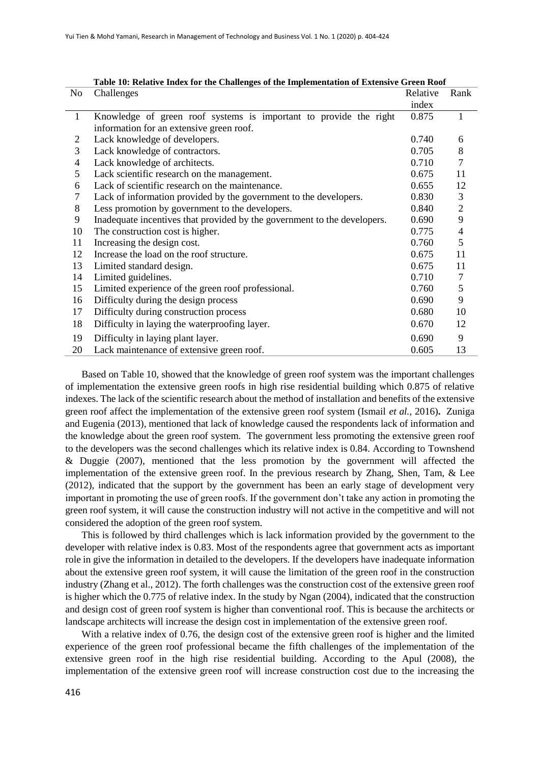| N <sub>o</sub> | Challenges                                                               | Relative | Rank           |
|----------------|--------------------------------------------------------------------------|----------|----------------|
|                |                                                                          | index    |                |
| $\mathbf{1}$   | Knowledge of green roof systems is important to provide the right        | 0.875    | 1              |
|                | information for an extensive green roof.                                 |          |                |
| 2              | Lack knowledge of developers.                                            | 0.740    | 6              |
| 3              | Lack knowledge of contractors.                                           | 0.705    | $8\,$          |
| 4              | Lack knowledge of architects.                                            | 0.710    | 7              |
| 5              | Lack scientific research on the management.                              | 0.675    | 11             |
| 6              | Lack of scientific research on the maintenance.                          | 0.655    | 12             |
| 7              | Lack of information provided by the government to the developers.        | 0.830    | 3              |
| 8              | Less promotion by government to the developers.                          | 0.840    | $\overline{c}$ |
| 9              | Inadequate incentives that provided by the government to the developers. | 0.690    | 9              |
| 10             | The construction cost is higher.                                         | 0.775    | 4              |
| 11             | Increasing the design cost.                                              | 0.760    | 5              |
| 12             | Increase the load on the roof structure.                                 | 0.675    | 11             |
| 13             | Limited standard design.                                                 | 0.675    | 11             |
| 14             | Limited guidelines.                                                      | 0.710    | $\tau$         |
| 15             | Limited experience of the green roof professional.                       | 0.760    | 5              |
| 16             | Difficulty during the design process                                     | 0.690    | 9              |
| 17             | Difficulty during construction process                                   | 0.680    | 10             |
| 18             | Difficulty in laying the waterproofing layer.                            | 0.670    | 12             |
| 19             | Difficulty in laying plant layer.                                        | 0.690    | 9              |
| 20             | Lack maintenance of extensive green roof.                                | 0.605    | 13             |

|--|

Based on Table 10, showed that the knowledge of green roof system was the important challenges of implementation the extensive green roofs in high rise residential building which 0.875 of relative indexes. The lack of the scientific research about the method of installation and benefits of the extensive green roof affect the implementation of the extensive green roof system (Ismail *et al.*, 2016)**.** Zuniga and Eugenia (2013), mentioned that lack of knowledge caused the respondents lack of information and the knowledge about the green roof system. The government less promoting the extensive green roof to the developers was the second challenges which its relative index is 0.84. According to Townshend & Duggie (2007), mentioned that the less promotion by the government will affected the implementation of the extensive green roof. In the previous research by Zhang, Shen, Tam, & Lee (2012), indicated that the support by the government has been an early stage of development very important in promoting the use of green roofs. If the government don't take any action in promoting the green roof system, it will cause the construction industry will not active in the competitive and will not considered the adoption of the green roof system.

This is followed by third challenges which is lack information provided by the government to the developer with relative index is 0.83. Most of the respondents agree that government acts as important role in give the information in detailed to the developers. If the developers have inadequate information about the extensive green roof system, it will cause the limitation of the green roof in the construction industry (Zhang et al., 2012). The forth challenges was the construction cost of the extensive green roof is higher which the 0.775 of relative index. In the study by Ngan (2004), indicated that the construction and design cost of green roof system is higher than conventional roof. This is because the architects or landscape architects will increase the design cost in implementation of the extensive green roof.

With a relative index of 0.76, the design cost of the extensive green roof is higher and the limited experience of the green roof professional became the fifth challenges of the implementation of the extensive green roof in the high rise residential building. According to the Apul (2008), the implementation of the extensive green roof will increase construction cost due to the increasing the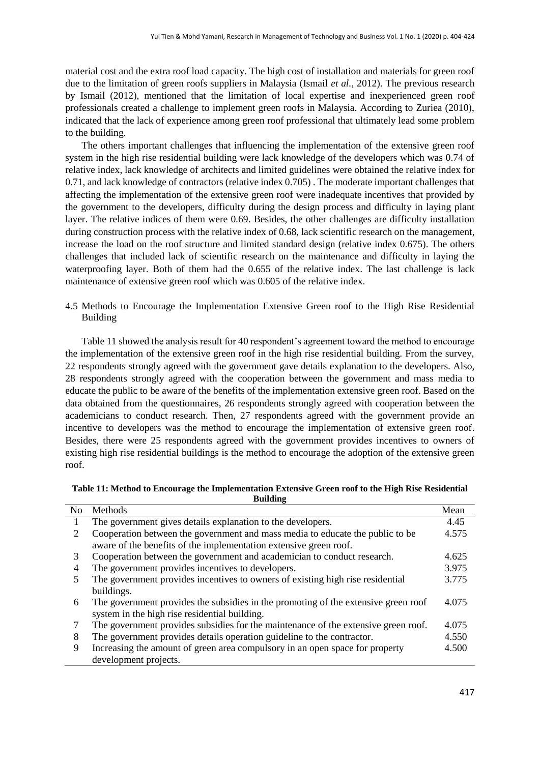material cost and the extra roof load capacity. The high cost of installation and materials for green roof due to the limitation of green roofs suppliers in Malaysia (Ismail *et al.*, 2012). The previous research by Ismail (2012), mentioned that the limitation of local expertise and inexperienced green roof professionals created a challenge to implement green roofs in Malaysia. According to Zuriea (2010), indicated that the lack of experience among green roof professional that ultimately lead some problem to the building.

The others important challenges that influencing the implementation of the extensive green roof system in the high rise residential building were lack knowledge of the developers which was 0.74 of relative index, lack knowledge of architects and limited guidelines were obtained the relative index for 0.71, and lack knowledge of contractors (relative index 0.705) . The moderate important challenges that affecting the implementation of the extensive green roof were inadequate incentives that provided by the government to the developers, difficulty during the design process and difficulty in laying plant layer. The relative indices of them were 0.69. Besides, the other challenges are difficulty installation during construction process with the relative index of 0.68, lack scientific research on the management, increase the load on the roof structure and limited standard design (relative index 0.675). The others challenges that included lack of scientific research on the maintenance and difficulty in laying the waterproofing layer. Both of them had the 0.655 of the relative index. The last challenge is lack maintenance of extensive green roof which was 0.605 of the relative index.

4.5 Methods to Encourage the Implementation Extensive Green roof to the High Rise Residential Building

Table 11 showed the analysis result for 40 respondent's agreement toward the method to encourage the implementation of the extensive green roof in the high rise residential building. From the survey, 22 respondents strongly agreed with the government gave details explanation to the developers. Also, 28 respondents strongly agreed with the cooperation between the government and mass media to educate the public to be aware of the benefits of the implementation extensive green roof. Based on the data obtained from the questionnaires, 26 respondents strongly agreed with cooperation between the academicians to conduct research. Then, 27 respondents agreed with the government provide an incentive to developers was the method to encourage the implementation of extensive green roof. Besides, there were 25 respondents agreed with the government provides incentives to owners of existing high rise residential buildings is the method to encourage the adoption of the extensive green roof.

**Table 11: Method to Encourage the Implementation Extensive Green roof to the High Rise Residential Building**

| N <sub>o</sub> | Methods                                                                            | Mean  |
|----------------|------------------------------------------------------------------------------------|-------|
| 1              | The government gives details explanation to the developers.                        | 4.45  |
| 2              | Cooperation between the government and mass media to educate the public to be      | 4.575 |
|                | aware of the benefits of the implementation extensive green roof.                  |       |
| 3              | Cooperation between the government and academician to conduct research.            | 4.625 |
| 4              | The government provides incentives to developers.                                  | 3.975 |
|                | The government provides incentives to owners of existing high rise residential     | 3.775 |
|                | buildings.                                                                         |       |
| 6              | The government provides the subsidies in the promoting of the extensive green roof | 4.075 |
|                | system in the high rise residential building.                                      |       |
| 7              | The government provides subsidies for the maintenance of the extensive green roof. | 4.075 |
| 8              | The government provides details operation guideline to the contractor.             | 4.550 |
| 9              | Increasing the amount of green area compulsory in an open space for property       | 4.500 |
|                | development projects.                                                              |       |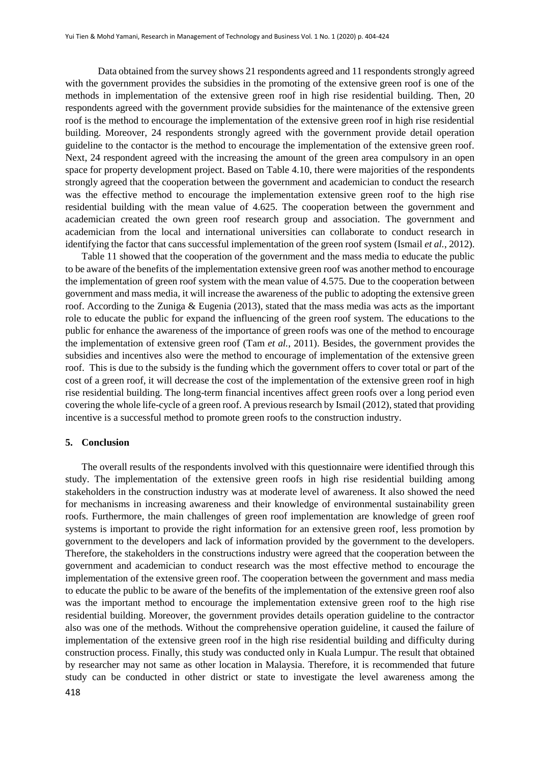Data obtained from the survey shows 21 respondents agreed and 11 respondents strongly agreed with the government provides the subsidies in the promoting of the extensive green roof is one of the methods in implementation of the extensive green roof in high rise residential building. Then, 20 respondents agreed with the government provide subsidies for the maintenance of the extensive green roof is the method to encourage the implementation of the extensive green roof in high rise residential building. Moreover, 24 respondents strongly agreed with the government provide detail operation guideline to the contactor is the method to encourage the implementation of the extensive green roof. Next, 24 respondent agreed with the increasing the amount of the green area compulsory in an open space for property development project. Based on Table 4.10, there were majorities of the respondents strongly agreed that the cooperation between the government and academician to conduct the research was the effective method to encourage the implementation extensive green roof to the high rise residential building with the mean value of 4.625. The cooperation between the government and academician created the own green roof research group and association. The government and academician from the local and international universities can collaborate to conduct research in identifying the factor that cans successful implementation of the green roof system (Ismail *et al.*, 2012).

Table 11 showed that the cooperation of the government and the mass media to educate the public to be aware of the benefits of the implementation extensive green roof was another method to encourage the implementation of green roof system with the mean value of 4.575. Due to the cooperation between government and mass media, it will increase the awareness of the public to adopting the extensive green roof. According to the Zuniga & Eugenia (2013), stated that the mass media was acts as the important role to educate the public for expand the influencing of the green roof system. The educations to the public for enhance the awareness of the importance of green roofs was one of the method to encourage the implementation of extensive green roof (Tam *et al.*, 2011). Besides, the government provides the subsidies and incentives also were the method to encourage of implementation of the extensive green roof. This is due to the subsidy is the funding which the government offers to cover total or part of the cost of a green roof, it will decrease the cost of the implementation of the extensive green roof in high rise residential building. The long-term financial incentives affect green roofs over a long period even covering the whole life-cycle of a green roof. A previous research by Ismail (2012), stated that providing incentive is a successful method to promote green roofs to the construction industry.

#### **5. Conclusion**

The overall results of the respondents involved with this questionnaire were identified through this study. The implementation of the extensive green roofs in high rise residential building among stakeholders in the construction industry was at moderate level of awareness. It also showed the need for mechanisms in increasing awareness and their knowledge of environmental sustainability green roofs. Furthermore, the main challenges of green roof implementation are knowledge of green roof systems is important to provide the right information for an extensive green roof, less promotion by government to the developers and lack of information provided by the government to the developers. Therefore, the stakeholders in the constructions industry were agreed that the cooperation between the government and academician to conduct research was the most effective method to encourage the implementation of the extensive green roof. The cooperation between the government and mass media to educate the public to be aware of the benefits of the implementation of the extensive green roof also was the important method to encourage the implementation extensive green roof to the high rise residential building. Moreover, the government provides details operation guideline to the contractor also was one of the methods. Without the comprehensive operation guideline, it caused the failure of implementation of the extensive green roof in the high rise residential building and difficulty during construction process. Finally, this study was conducted only in Kuala Lumpur. The result that obtained by researcher may not same as other location in Malaysia. Therefore, it is recommended that future study can be conducted in other district or state to investigate the level awareness among the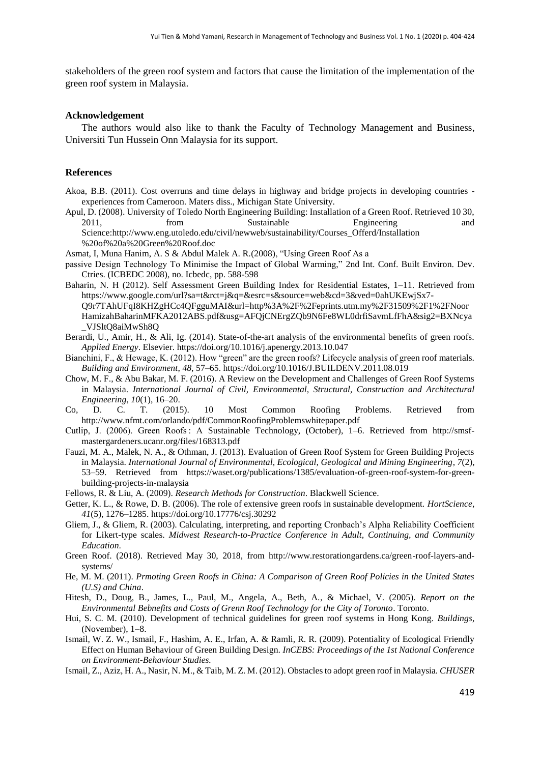stakeholders of the green roof system and factors that cause the limitation of the implementation of the green roof system in Malaysia.

## **Acknowledgement**

The authors would also like to thank the Faculty of Technology Management and Business, Universiti Tun Hussein Onn Malaysia for its support.

#### **References**

- Akoa, B.B. (2011). Cost overruns and time delays in highway and bridge projects in developing countries experiences from Cameroon. Maters diss., Michigan State University.
- Apul, D. (2008). University of Toledo North Engineering Building: Installation of a Green Roof. Retrieved 10 30, 2011, from Sustainable Engineering and Science:http://www.eng.utoledo.edu/civil/newweb/sustainability/Courses\_Offerd/Installation %20of%20a%20Green%20Roof.doc
- Asmat, I, Muna Hanim, A. S & Abdul Malek A. R.(2008), "Using Green Roof As a
- passive Design Technology To Minimise the Impact of Global Warming," 2nd Int. Conf. Built Environ. Dev. Ctries. (ICBEDC 2008), no. Icbedc, pp. 588-598
- Baharin, N. H (2012). Self Assessment Green Building Index for Residential Estates, 1–11. Retrieved from https://www.google.com/url?sa=t&rct=j&q=&esrc=s&source=web&cd=3&ved=0ahUKEwjSx7- Q9r7TAhUFqI8KHZgHCc4QFgguMAI&url=http%3A%2F%2Feprints.utm.my%2F31509%2F1%2FNoor HamizahBaharinMFKA2012ABS.pdf&usg=AFQjCNErgZQb9N6Fe8WL0drfiSavmLfFhA&sig2=BXNcya \_VJSltQ8aiMwSh8Q
- Berardi, U., Amir, H., & Ali, Ig. (2014). State-of-the-art analysis of the environmental benefits of green roofs. *Applied Energy*. Elsevier. https://doi.org/10.1016/j.apenergy.2013.10.047
- Bianchini, F., & Hewage, K. (2012). How "green" are the green roofs? Lifecycle analysis of green roof materials. *Building and Environment*, *48*, 57–65. https://doi.org/10.1016/J.BUILDENV.2011.08.019
- Chow, M. F., & Abu Bakar, M. F. (2016). A Review on the Development and Challenges of Green Roof Systems in Malaysia. *International Journal of Civil, Environmental, Structural, Construction and Architectural Engineering*, *10*(1), 16–20.
- Co, D. C. T. (2015). 10 Most Common Roofing Problems. Retrieved from http://www.nfmt.com/orlando/pdf/CommonRoofingProblemswhitepaper.pdf
- Cutlip, J. (2006). Green Roofs : A Sustainable Technology, (October), 1–6. Retrieved from http://smsfmastergardeners.ucanr.org/files/168313.pdf
- Fauzi, M. A., Malek, N. A., & Othman, J. (2013). Evaluation of Green Roof System for Green Building Projects in Malaysia. *International Journal of Environmental, Ecological, Geological and Mining Engineering*, *7*(2), 53–59. Retrieved from https://waset.org/publications/1385/evaluation-of-green-roof-system-for-greenbuilding-projects-in-malaysia
- Fellows, R. & Liu, A. (2009). *Research Methods for Construction*. Blackwell Science.
- Getter, K. L., & Rowe, D. B. (2006). The role of extensive green roofs in sustainable development. *HortScience*, *41*(5), 1276–1285. https://doi.org/10.17776/csj.30292
- Gliem, J., & Gliem, R. (2003). Calculating, interpreting, and reporting Cronbach's Alpha Reliability Coefficient for Likert-type scales. *Midwest Research-to-Practice Conference in Adult, Continuing, and Community Education*.
- Green Roof. (2018). Retrieved May 30, 2018, from http://www.restorationgardens.ca/green-roof-layers-andsystems/
- He, M. M. (2011). *Prmoting Green Roofs in China: A Comparison of Green Roof Policies in the United States (U.S) and China*.
- Hitesh, D., Doug, B., James, L., Paul, M., Angela, A., Beth, A., & Michael, V. (2005). *Report on the Environmental Bebnefits and Costs of Grenn Roof Technology for the City of Toronto*. Toronto.
- Hui, S. C. M. (2010). Development of technical guidelines for green roof systems in Hong Kong. *Buildings*, (November), 1–8.
- Ismail, W. Z. W., Ismail, F., Hashim, A. E., Irfan, A. & Ramli, R. R. (2009). Potentiality of Ecological Friendly Effect on Human Behaviour of Green Building Design. *InCEBS: Proceedings of the 1st National Conference on Environment-Behaviour Studies.*
- Ismail, Z., Aziz, H. A., Nasir, N. M., & Taib, M. Z. M. (2012). Obstacles to adopt green roof in Malaysia. *CHUSER*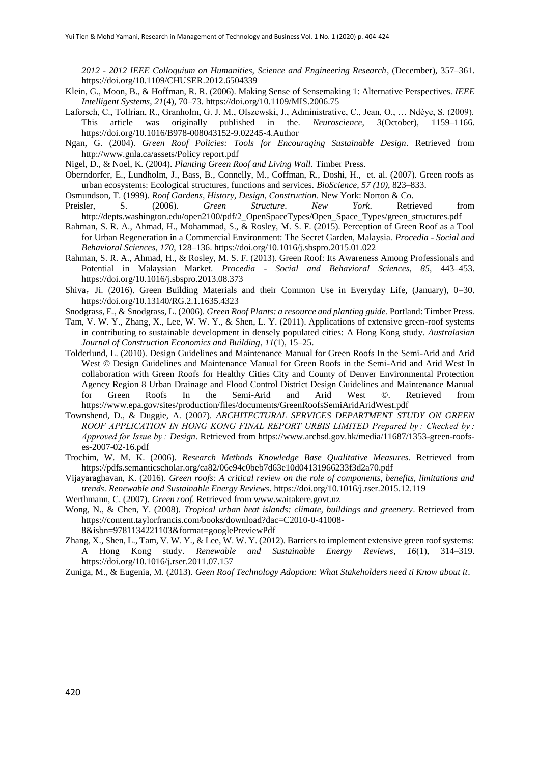*2012 - 2012 IEEE Colloquium on Humanities, Science and Engineering Research*, (December), 357–361. https://doi.org/10.1109/CHUSER.2012.6504339

- Klein, G., Moon, B., & Hoffman, R. R. (2006). Making Sense of Sensemaking 1: Alternative Perspectives. *IEEE Intelligent Systems*, *21*(4), 70–73. https://doi.org/10.1109/MIS.2006.75
- Laforsch, C., Tollrian, R., Granholm, G. J. M., Olszewski, J., Administrative, C., Jean, O., … Ndèye, S. (2009). This article was originally published in the. *Neuroscience*, *3*(October), 1159–1166. https://doi.org/10.1016/B978-008043152-9.02245-4.Author
- Ngan, G. (2004). *Green Roof Policies: Tools for Encouraging Sustainable Design*. Retrieved from http://www.gnla.ca/assets/Policy report.pdf
- Nigel, D., & Noel, K. (2004). *Planting Green Roof and Living Wall*. Timber Press.
- Oberndorfer, E., Lundholm, J., Bass, B., Connelly, M., Coffman, R., Doshi, H., et. al. (2007). Green roofs as urban ecosystems: Ecological structures, functions and services. *BioScience*, *57 (10)*, 823–833.
- Osmundson, T. (1999). *Roof Gardens, History, Design, Construction*. New York: Norton & Co.
- Preisler, S. (2006). *Green Structure*. *New York*. Retrieved from http://depts.washington.edu/open2100/pdf/2\_OpenSpaceTypes/Open\_Space\_Types/green\_structures.pdf
- Rahman, S. R. A., Ahmad, H., Mohammad, S., & Rosley, M. S. F. (2015). Perception of Green Roof as a Tool for Urban Regeneration in a Commercial Environment: The Secret Garden, Malaysia. *Procedia - Social and Behavioral Sciences*, *170*, 128–136. https://doi.org/10.1016/j.sbspro.2015.01.022
- Rahman, S. R. A., Ahmad, H., & Rosley, M. S. F. (2013). Green Roof: Its Awareness Among Professionals and Potential in Malaysian Market. *Procedia - Social and Behavioral Sciences*, *85*, 443–453. https://doi.org/10.1016/j.sbspro.2013.08.373
- Shiva, Ji. (2016). Green Building Materials and their Common Use in Everyday Life, (January), 0–30. https://doi.org/10.13140/RG.2.1.1635.4323
- Snodgrass, E., & Snodgrass, L. (2006). *Green Roof Plants: a resource and planting guide*. Portland: Timber Press. Tam, V. W. Y., Zhang, X., Lee, W. W. Y., & Shen, L. Y. (2011). Applications of extensive green-roof systems in contributing to sustainable development in densely populated cities: A Hong Kong study. *Australasian Journal of Construction Economics and Building*, *11*(1), 15–25.
- Tolderlund, L. (2010). Design Guidelines and Maintenance Manual for Green Roofs In the Semi-Arid and Arid West © Design Guidelines and Maintenance Manual for Green Roofs in the Semi-Arid and Arid West In collaboration with Green Roofs for Healthy Cities City and County of Denver Environmental Protection Agency Region 8 Urban Drainage and Flood Control District Design Guidelines and Maintenance Manual for Green Roofs In the Semi-Arid and Arid West ©. Retrieved from https://www.epa.gov/sites/production/files/documents/GreenRoofsSemiAridAridWest.pdf
- Townshend, D., & Duggie, A. (2007). *ARCHITECTURAL SERVICES DEPARTMENT STUDY ON GREEN ROOF APPLICATION IN HONG KONG FINAL REPORT URBIS LIMITED Prepared by : Checked by : Approved for Issue by : Design*. Retrieved from https://www.archsd.gov.hk/media/11687/1353-green-roofses-2007-02-16.pdf
- Trochim, W. M. K. (2006). *Research Methods Knowledge Base Qualitative Measures*. Retrieved from https://pdfs.semanticscholar.org/ca82/06e94c0beb7d63e10d04131966233f3d2a70.pdf
- Vijayaraghavan, K. (2016). *Green roofs: A critical review on the role of components, benefits, limitations and trends*. *Renewable and Sustainable Energy Reviews*. https://doi.org/10.1016/j.rser.2015.12.119
- Werthmann, C. (2007). *Green roof*. Retrieved from www.waitakere.govt.nz
- Wong, N., & Chen, Y. (2008). *Tropical urban heat islands: climate, buildings and greenery*. Retrieved from https://content.taylorfrancis.com/books/download?dac=C2010-0-41008-
	- 8&isbn=9781134221103&format=googlePreviewPdf
- Zhang, X., Shen, L., Tam, V. W. Y., & Lee, W. W. Y. (2012). Barriers to implement extensive green roof systems: A Hong Kong study. *Renewable and Sustainable Energy Reviews*, *16*(1), 314–319. https://doi.org/10.1016/j.rser.2011.07.157
- Zuniga, M., & Eugenia, M. (2013). *Geen Roof Technology Adoption: What Stakeholders need ti Know about it*.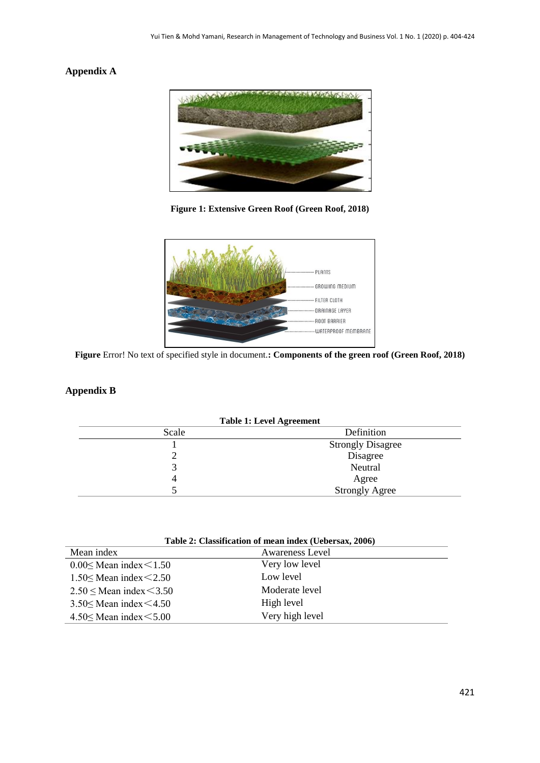# **Appendix A**



**Figure 1: Extensive Green Roof (Green Roof, 2018)**



**Figure** Error! No text of specified style in document.**: Components of the green roof (Green Roof, 2018)**

# **Appendix B**

| <b>Table 1: Level Agreement</b> |                          |  |
|---------------------------------|--------------------------|--|
| Scale                           | Definition               |  |
|                                 | <b>Strongly Disagree</b> |  |
|                                 | Disagree                 |  |
|                                 | Neutral                  |  |
|                                 | Agree                    |  |
|                                 | <b>Strongly Agree</b>    |  |

| Table 2: Classification of mean index (Uebersax, 2006) |                        |  |  |
|--------------------------------------------------------|------------------------|--|--|
| Mean index                                             | <b>Awareness Level</b> |  |  |
| $0.00 \leq$ Mean index $\leq$ 1.50                     | Very low level         |  |  |
| $1.50 \leq$ Mean index $\leq$ 2.50                     | Low level              |  |  |
| $2.50 \leq$ Mean index $\leq$ 3.50                     | Moderate level         |  |  |
| $3.50 \leq$ Mean index $\leq 4.50$                     | High level             |  |  |
| $4.50 \leq$ Mean index $\leq 5.00$                     | Very high level        |  |  |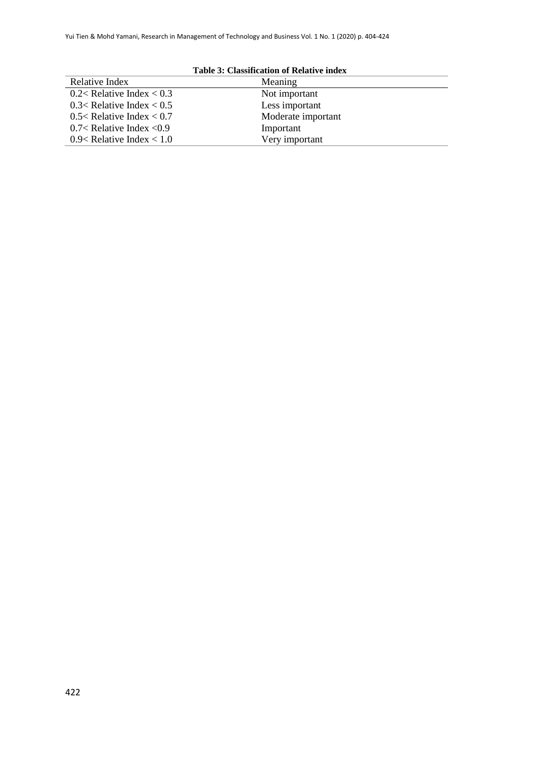| <b>Table 3: Classification of Relative index</b>    |                    |  |  |
|-----------------------------------------------------|--------------------|--|--|
| Relative Index                                      | Meaning            |  |  |
| 0.2 <relative <math="" index="">&lt; 0.3</relative> | Not important      |  |  |
| 0.3 <relative <math="" index="">&lt; 0.5</relative> | Less important     |  |  |
| 0.5< Relative Index $< 0.7$                         | Moderate important |  |  |
| 0.7< Relative Index $< 0.9$                         | Important          |  |  |
| 0.9< Relative Index $< 1.0$                         | Very important     |  |  |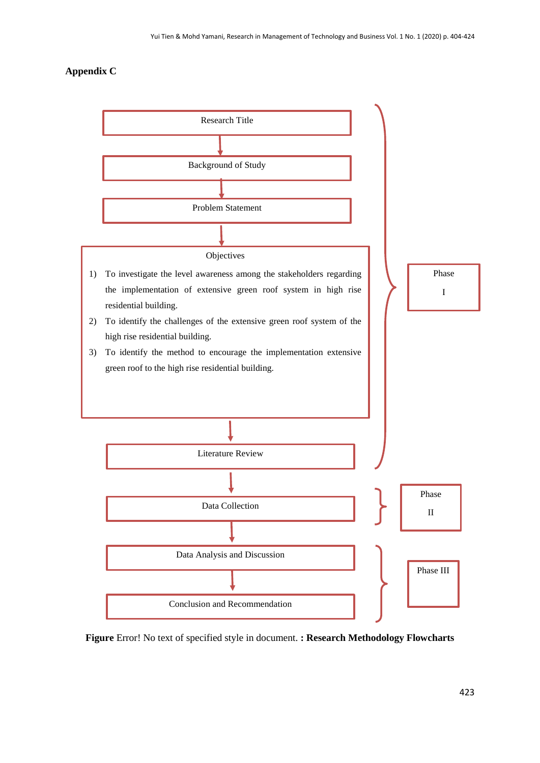# **Appendix C**



**Figure** Error! No text of specified style in document. **: Research Methodology Flowcharts**